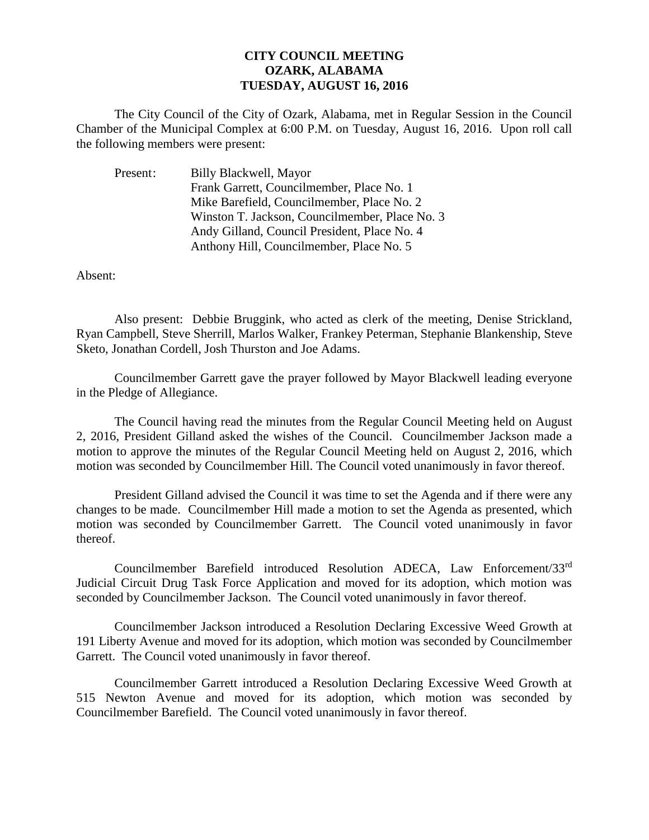## **CITY COUNCIL MEETING OZARK, ALABAMA TUESDAY, AUGUST 16, 2016**

The City Council of the City of Ozark, Alabama, met in Regular Session in the Council Chamber of the Municipal Complex at 6:00 P.M. on Tuesday, August 16, 2016. Upon roll call the following members were present:

| Present: | Billy Blackwell, Mayor                         |
|----------|------------------------------------------------|
|          | Frank Garrett, Councilmember, Place No. 1      |
|          | Mike Barefield, Councilmember, Place No. 2     |
|          | Winston T. Jackson, Councilmember, Place No. 3 |
|          | Andy Gilland, Council President, Place No. 4   |
|          | Anthony Hill, Councilmember, Place No. 5       |

Absent:

Also present: Debbie Bruggink, who acted as clerk of the meeting, Denise Strickland, Ryan Campbell, Steve Sherrill, Marlos Walker, Frankey Peterman, Stephanie Blankenship, Steve Sketo, Jonathan Cordell, Josh Thurston and Joe Adams.

Councilmember Garrett gave the prayer followed by Mayor Blackwell leading everyone in the Pledge of Allegiance.

The Council having read the minutes from the Regular Council Meeting held on August 2, 2016, President Gilland asked the wishes of the Council. Councilmember Jackson made a motion to approve the minutes of the Regular Council Meeting held on August 2, 2016, which motion was seconded by Councilmember Hill. The Council voted unanimously in favor thereof.

President Gilland advised the Council it was time to set the Agenda and if there were any changes to be made. Councilmember Hill made a motion to set the Agenda as presented, which motion was seconded by Councilmember Garrett. The Council voted unanimously in favor thereof.

Councilmember Barefield introduced Resolution ADECA, Law Enforcement/33rd Judicial Circuit Drug Task Force Application and moved for its adoption, which motion was seconded by Councilmember Jackson. The Council voted unanimously in favor thereof.

Councilmember Jackson introduced a Resolution Declaring Excessive Weed Growth at 191 Liberty Avenue and moved for its adoption, which motion was seconded by Councilmember Garrett. The Council voted unanimously in favor thereof.

Councilmember Garrett introduced a Resolution Declaring Excessive Weed Growth at 515 Newton Avenue and moved for its adoption, which motion was seconded by Councilmember Barefield. The Council voted unanimously in favor thereof.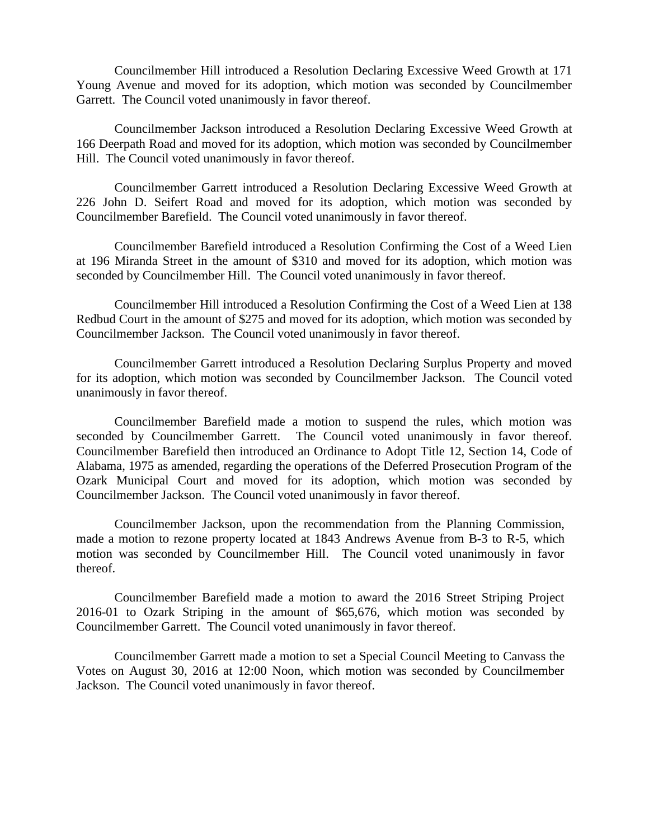Councilmember Hill introduced a Resolution Declaring Excessive Weed Growth at 171 Young Avenue and moved for its adoption, which motion was seconded by Councilmember Garrett. The Council voted unanimously in favor thereof.

Councilmember Jackson introduced a Resolution Declaring Excessive Weed Growth at 166 Deerpath Road and moved for its adoption, which motion was seconded by Councilmember Hill. The Council voted unanimously in favor thereof.

Councilmember Garrett introduced a Resolution Declaring Excessive Weed Growth at 226 John D. Seifert Road and moved for its adoption, which motion was seconded by Councilmember Barefield. The Council voted unanimously in favor thereof.

Councilmember Barefield introduced a Resolution Confirming the Cost of a Weed Lien at 196 Miranda Street in the amount of \$310 and moved for its adoption, which motion was seconded by Councilmember Hill. The Council voted unanimously in favor thereof.

Councilmember Hill introduced a Resolution Confirming the Cost of a Weed Lien at 138 Redbud Court in the amount of \$275 and moved for its adoption, which motion was seconded by Councilmember Jackson. The Council voted unanimously in favor thereof.

Councilmember Garrett introduced a Resolution Declaring Surplus Property and moved for its adoption, which motion was seconded by Councilmember Jackson. The Council voted unanimously in favor thereof.

Councilmember Barefield made a motion to suspend the rules, which motion was seconded by Councilmember Garrett. The Council voted unanimously in favor thereof. Councilmember Barefield then introduced an Ordinance to Adopt Title 12, Section 14, Code of Alabama, 1975 as amended, regarding the operations of the Deferred Prosecution Program of the Ozark Municipal Court and moved for its adoption, which motion was seconded by Councilmember Jackson. The Council voted unanimously in favor thereof.

Councilmember Jackson, upon the recommendation from the Planning Commission, made a motion to rezone property located at 1843 Andrews Avenue from B-3 to R-5, which motion was seconded by Councilmember Hill. The Council voted unanimously in favor thereof.

Councilmember Barefield made a motion to award the 2016 Street Striping Project 2016-01 to Ozark Striping in the amount of \$65,676, which motion was seconded by Councilmember Garrett. The Council voted unanimously in favor thereof.

Councilmember Garrett made a motion to set a Special Council Meeting to Canvass the Votes on August 30, 2016 at 12:00 Noon, which motion was seconded by Councilmember Jackson. The Council voted unanimously in favor thereof.